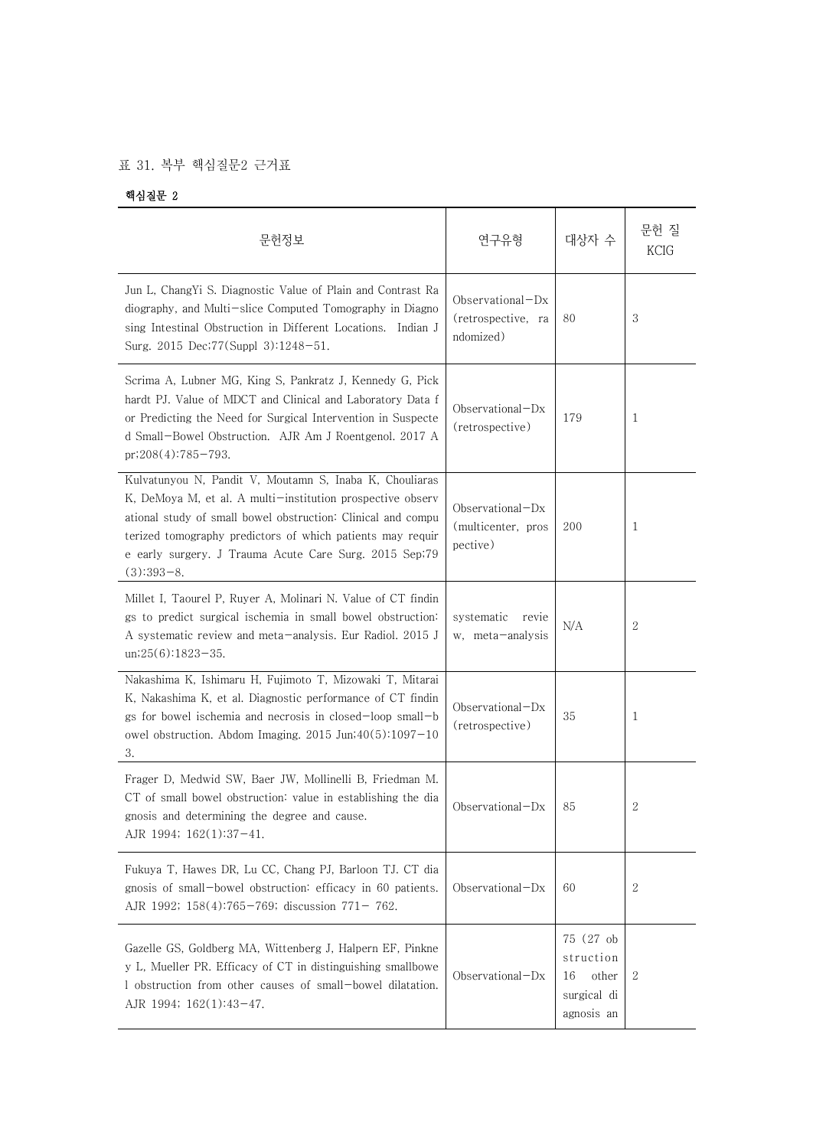## 표 31. 복부 핵심질문2 근거표

핵심질문 2

| 문헌정보                                                                                                                                                                                                                                                                                                                          | 연구유형                                                  | 대상자 수                                                              | 문헌 질<br><b>KCIG</b> |
|-------------------------------------------------------------------------------------------------------------------------------------------------------------------------------------------------------------------------------------------------------------------------------------------------------------------------------|-------------------------------------------------------|--------------------------------------------------------------------|---------------------|
| Jun L, ChangYi S. Diagnostic Value of Plain and Contrast Ra<br>diography, and Multi-slice Computed Tomography in Diagno<br>sing Intestinal Obstruction in Different Locations. Indian J<br>Surg. 2015 Dec; 77(Suppl 3): 1248-51.                                                                                              | $Observational-Dx$<br>(retrospective, ra<br>ndomized) | 80                                                                 | 3                   |
| Scrima A, Lubner MG, King S, Pankratz J, Kennedy G, Pick<br>hardt PJ. Value of MDCT and Clinical and Laboratory Data f<br>or Predicting the Need for Surgical Intervention in Suspecte<br>d Small-Bowel Obstruction. AJR Am J Roentgenol. 2017 A<br>$pr:208(4):785-793.$                                                      | Observational $-Dx$<br>(retrospective)                | 179                                                                | 1                   |
| Kulvatunyou N, Pandit V, Moutamn S, Inaba K, Chouliaras<br>K, DeMoya M, et al. A multi-institution prospective observ<br>ational study of small bowel obstruction: Clinical and compu<br>terized tomography predictors of which patients may requir<br>e early surgery. J Trauma Acute Care Surg. 2015 Sep;79<br>$(3):393-8.$ | Observational-Dx<br>(multicenter, pros<br>pective)    | 200                                                                | 1                   |
| Millet I, Taourel P, Ruyer A, Molinari N. Value of CT findin<br>gs to predict surgical ischemia in small bowel obstruction:<br>A systematic review and meta-analysis. Eur Radiol. 2015 J<br>$un;25(6):1823-35.$                                                                                                               | systematic<br>revie<br>w, meta-analysis               | N/A                                                                | 2                   |
| Nakashima K, Ishimaru H, Fujimoto T, Mizowaki T, Mitarai<br>K, Nakashima K, et al. Diagnostic performance of CT findin<br>gs for bowel ischemia and necrosis in closed-loop small-b<br>owel obstruction. Abdom Imaging. $2015$ Jun; $40(5)$ : $1097-10$<br>3.                                                                 | Observational $-Dx$<br>(retrospective)                | 35                                                                 | 1                   |
| Frager D, Medwid SW, Baer JW, Mollinelli B, Friedman M.<br>CT of small bowel obstruction: value in establishing the dia<br>gnosis and determining the degree and cause.<br>AJR 1994; $162(1):37-41$ .                                                                                                                         | $Observational-Dx$                                    | 85                                                                 | 2                   |
| Fukuya T, Hawes DR, Lu CC, Chang PJ, Barloon TJ. CT dia<br>gnosis of small-bowel obstruction: efficacy in 60 patients.<br>AJR 1992; 158(4):765-769; discussion 771-762.                                                                                                                                                       | $Observational-Dx$                                    | 60                                                                 | 2                   |
| Gazelle GS, Goldberg MA, Wittenberg J, Halpern EF, Pinkne<br>y L, Mueller PR. Efficacy of CT in distinguishing smallbowe<br>1 obstruction from other causes of small-bowel dilatation.<br>AJR 1994; 162(1):43-47.                                                                                                             | Observational-Dx                                      | 75 (27 ob<br>struction<br>other<br>16<br>surgical di<br>agnosis an | 2                   |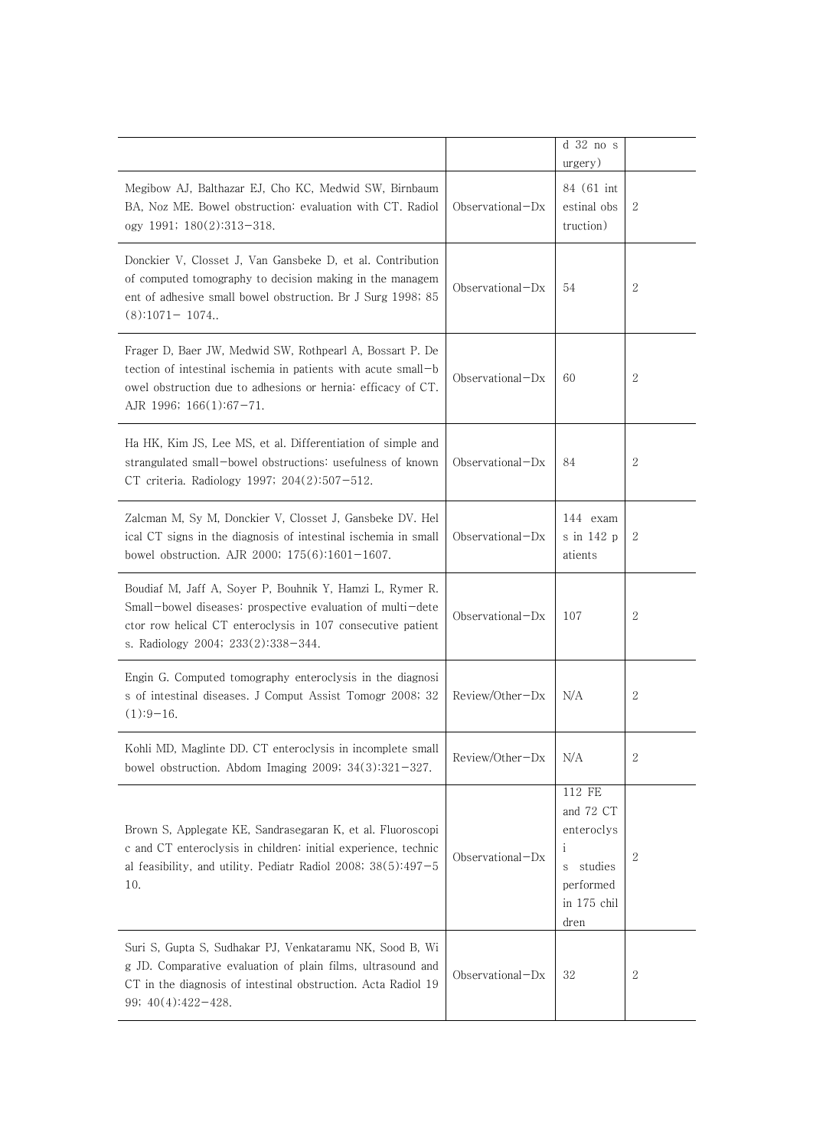|                                                                                                                                                                                                                             |                     | d 32 no s<br>urgery)                                                                                  |              |
|-----------------------------------------------------------------------------------------------------------------------------------------------------------------------------------------------------------------------------|---------------------|-------------------------------------------------------------------------------------------------------|--------------|
| Megibow AJ, Balthazar EJ, Cho KC, Medwid SW, Birnbaum<br>BA, Noz ME. Bowel obstruction: evaluation with CT. Radiol<br>ogy 1991; 180(2):313-318.                                                                             | $Observational-Dx$  | 84 (61 int)<br>estinal obs<br>truction)                                                               | 2            |
| Donckier V, Closset J, Van Gansbeke D, et al. Contribution<br>of computed tomography to decision making in the managem<br>ent of adhesive small bowel obstruction. Br J Surg 1998; 85<br>$(8)$ :1071-1074                   | $Observational-Dx$  | 54                                                                                                    | $\mathbf{2}$ |
| Frager D, Baer JW, Medwid SW, Rothpearl A, Bossart P. De<br>tection of intestinal ischemia in patients with acute small-b<br>owel obstruction due to adhesions or hernia: efficacy of CT.<br>AJR 1996; $166(1):67-71$ .     | Observational $-Dx$ | 60                                                                                                    | 2            |
| Ha HK, Kim JS, Lee MS, et al. Differentiation of simple and<br>strangulated small-bowel obstructions: usefulness of known<br>CT criteria. Radiology 1997; 204(2):507-512.                                                   | Observational $-Dx$ | 84                                                                                                    | 2            |
| Zalcman M, Sy M, Donckier V, Closset J, Gansbeke DV. Hel<br>ical CT signs in the diagnosis of intestinal ischemia in small<br>bowel obstruction. AJR 2000; 175(6):1601-1607.                                                | $Observational-Dx$  | 144 exam<br>s in 142 p<br>atients                                                                     | 2            |
| Boudiaf M, Jaff A, Soyer P, Bouhnik Y, Hamzi L, Rymer R.<br>Small-bowel diseases: prospective evaluation of multi-dete<br>ctor row helical CT enteroclysis in 107 consecutive patient<br>s. Radiology 2004; 233(2):338-344. | Observational $-Dx$ | 107                                                                                                   | $\sqrt{2}$   |
| Engin G. Computed tomography enteroclysis in the diagnosi<br>s of intestinal diseases. J Comput Assist Tomogr 2008; 32<br>$(1):9-16.$                                                                                       | $Review/Other-Dx$   | N/A                                                                                                   | 2            |
| Kohli MD, Maglinte DD. CT enteroclysis in incomplete small<br>bowel obstruction. Abdom Imaging 2009; $34(3):321-327$ .                                                                                                      | Review/Other-Dx     | N/A                                                                                                   | $\sqrt{2}$   |
| Brown S, Applegate KE, Sandrasegaran K, et al. Fluoroscopi<br>c and CT enteroclysis in children: initial experience, technic<br>al feasibility, and utility. Pediatr Radiol 2008; $38(5):497-5$<br>10.                      | Observational-Dx    | 112 FE<br>and 72 CT<br>enteroclys<br>$\mathbf{i}$<br>studies<br>S<br>performed<br>in 175 chil<br>dren | $\mathbf{2}$ |
| Suri S, Gupta S, Sudhakar PJ, Venkataramu NK, Sood B, Wi<br>g JD. Comparative evaluation of plain films, ultrasound and<br>CT in the diagnosis of intestinal obstruction. Acta Radiol 19<br>99; 40(4):422-428.              | $Observational-Dx$  | 32                                                                                                    | 2            |